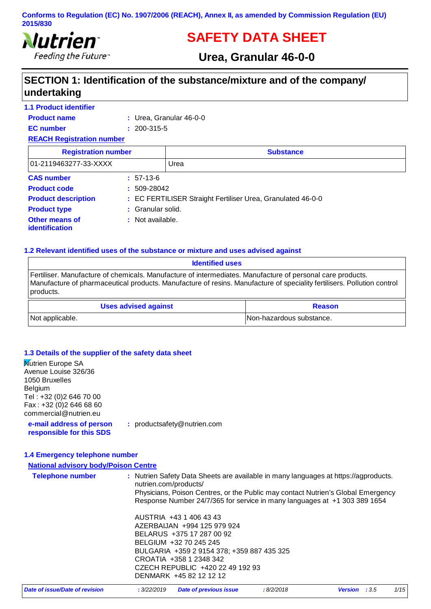

# **SAFETY DATA SHEET**

# **Urea, Granular 46-0-0**

# **SECTION 1: Identification of the substance/mixture and of the company/ undertaking**

| <b>1.1 Product identifier</b>    |                   |                                                             |  |
|----------------------------------|-------------------|-------------------------------------------------------------|--|
| <b>Product name</b>              |                   | $:$ Urea, Granular 46-0-0                                   |  |
| <b>EC</b> number                 | $: 200 - 315 - 5$ |                                                             |  |
| <b>REACH Registration number</b> |                   |                                                             |  |
| <b>Registration number</b>       |                   | <b>Substance</b>                                            |  |
| 01-2119463277-33-XXXX            |                   | Urea                                                        |  |
| <b>CAS number</b>                | $: 57-13-6$       |                                                             |  |
| <b>Product code</b>              | $: 509-28042$     |                                                             |  |
| <b>Product description</b>       |                   | : EC FERTILISER Straight Fertiliser Urea, Granulated 46-0-0 |  |
| <b>Product type</b>              | : Granular solid. |                                                             |  |
| Other means of<br>identification | : Not available.  |                                                             |  |

#### **1.2 Relevant identified uses of the substance or mixture and uses advised against**

| <b>Identified uses</b>                                                                                                                                                                                                                             |                          |
|----------------------------------------------------------------------------------------------------------------------------------------------------------------------------------------------------------------------------------------------------|--------------------------|
| Fertiliser. Manufacture of chemicals. Manufacture of intermediates. Manufacture of personal care products.<br>Manufacture of pharmaceutical products. Manufacture of resins. Manufacture of speciality fertilisers. Pollution control<br>products. |                          |
| <b>Uses advised against</b>                                                                                                                                                                                                                        | <b>Reason</b>            |
| Not applicable.                                                                                                                                                                                                                                    | Non-hazardous substance. |

#### **1.3 Details of the supplier of the safety data sheet**

| <b>Nutrien Europe SA</b>                             |                                                                                                                                                               |
|------------------------------------------------------|---------------------------------------------------------------------------------------------------------------------------------------------------------------|
| Avenue Louise 326/36<br>1050 Bruxelles               |                                                                                                                                                               |
| Belgium                                              |                                                                                                                                                               |
| Tel: +32 (0)2 646 70 00                              |                                                                                                                                                               |
| Fax: +32 (0) 2 646 68 60                             |                                                                                                                                                               |
| commercial@nutrien.eu                                |                                                                                                                                                               |
| e-mail address of person<br>responsible for this SDS | : productsafety@nutrien.com                                                                                                                                   |
|                                                      |                                                                                                                                                               |
| 1.4 Emergency telephone number                       |                                                                                                                                                               |
| <b>National advisory body/Poison Centre</b>          |                                                                                                                                                               |
| <b>Telephone number</b>                              | : Nutrien Safety Data Sheets are available in many languages at https://agproducts.<br>nutrien.com/products/                                                  |
|                                                      | Physicians, Poison Centres, or the Public may contact Nutrien's Global Emergency<br>Response Number 24/7/365 for service in many languages at +1 303 389 1654 |
|                                                      | AUSTRIA +43 1 406 43 43                                                                                                                                       |
|                                                      | AZERBAIJAN +994 125 979 924                                                                                                                                   |
|                                                      | BELARUS +375 17 287 00 92                                                                                                                                     |
|                                                      | BELGIUM +32 70 245 245                                                                                                                                        |
|                                                      | BULGARIA +359 2 9154 378; +359 887 435 325                                                                                                                    |
|                                                      | CROATIA +358 1 2348 342                                                                                                                                       |
|                                                      | CZECH REPUBLIC +420 22 49 192 93                                                                                                                              |
|                                                      | DENMARK +45 82 12 12 12                                                                                                                                       |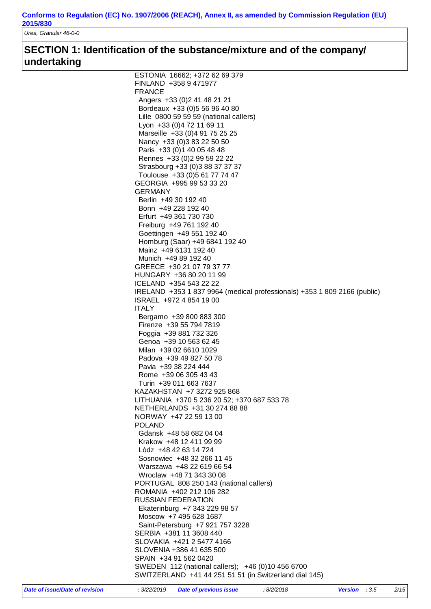*Urea, Granular 46-0-0*

# **SECTION 1: Identification of the substance/mixture and of the company/ undertaking**

| ESTONIA 16662; +372 62 69 379                                                                               |
|-------------------------------------------------------------------------------------------------------------|
| FINLAND +358 9 471977                                                                                       |
| <b>FRANCE</b>                                                                                               |
| Angers +33 (0) 2 41 48 21 21                                                                                |
| Bordeaux +33 (0) 5 56 96 40 80                                                                              |
| Lille 0800 59 59 59 (national callers)                                                                      |
| Lyon +33 (0) 4 72 11 69 11                                                                                  |
| Marseille +33 (0)4 91 75 25 25                                                                              |
| Nancy +33 (0) 3 83 22 50 50                                                                                 |
| Paris +33 (0) 1 40 05 48 48                                                                                 |
| Rennes +33 (0) 2 99 59 22 22                                                                                |
| Strasbourg +33 (0)3 88 37 37 37                                                                             |
| Toulouse +33 (0) 5 61 77 74 47                                                                              |
| GEORGIA +995 99 53 33 20                                                                                    |
| <b>GERMANY</b>                                                                                              |
| Berlin +49 30 192 40                                                                                        |
| Bonn +49 228 192 40                                                                                         |
|                                                                                                             |
| Erfurt +49 361 730 730                                                                                      |
| Freiburg +49 761 192 40                                                                                     |
| Goettingen +49 551 192 40                                                                                   |
| Homburg (Saar) +49 6841 192 40                                                                              |
| Mainz +49 6131 192 40                                                                                       |
| Munich +49 89 192 40                                                                                        |
| GREECE +30 21 07 79 37 77                                                                                   |
| HUNGARY +36 80 20 11 99                                                                                     |
| ICELAND +354 543 22 22                                                                                      |
| IRELAND +353 1 837 9964 (medical professionals) +353 1 809 2166 (public)                                    |
| ISRAEL +972 4 854 19 00                                                                                     |
| <b>ITALY</b>                                                                                                |
| Bergamo +39 800 883 300                                                                                     |
| Firenze +39 55 794 7819                                                                                     |
| Foggia +39 881 732 326                                                                                      |
| Genoa +39 10 563 62 45                                                                                      |
| Milan +39 02 6610 1029                                                                                      |
| Padova +39 49 827 50 78                                                                                     |
| Pavia +39 38 224 444                                                                                        |
| Rome +39 06 305 43 43                                                                                       |
| Turin +39 011 663 7637                                                                                      |
| KAZAKHSTAN +7 3272 925 868                                                                                  |
| LITHUANIA +370 5 236 20 52; +370 687 533 78                                                                 |
| NETHERLANDS +31 30 274 88 88                                                                                |
| NORWAY +47 22 59 13 00                                                                                      |
| <b>POLAND</b>                                                                                               |
| Gdansk +48 58 682 04 04                                                                                     |
| Krakow +48 12 411 99 99                                                                                     |
| Lòdz +48 42 63 14 724                                                                                       |
| Sosnowiec +48 32 266 11 45                                                                                  |
| Warszawa +48 22 619 66 54                                                                                   |
| Wroclaw +48 71 343 30 08                                                                                    |
| PORTUGAL 808 250 143 (national callers)                                                                     |
| ROMANIA +402 212 106 282                                                                                    |
| <b>RUSSIAN FEDERATION</b>                                                                                   |
| Ekaterinburg +7 343 229 98 57                                                                               |
| Moscow +7 495 628 1687                                                                                      |
| Saint-Petersburg +7 921 757 3228                                                                            |
| SERBIA +381 11 3608 440                                                                                     |
| SLOVAKIA +421 2 5477 4166                                                                                   |
| SLOVENIA +386 41 635 500                                                                                    |
|                                                                                                             |
|                                                                                                             |
| SPAIN +34 91 562 0420                                                                                       |
| SWEDEN 112 (national callers); +46 (0)10 456 6700<br>SWITZERLAND +41 44 251 51 51 (in Switzerland dial 145) |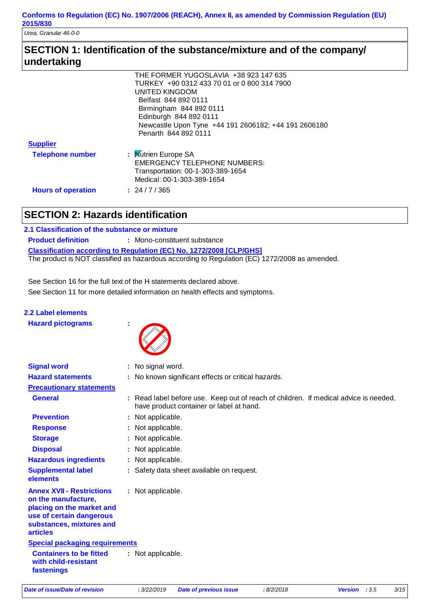*Urea, Granular 46-0-0*

# **SECTION 1: Identification of the substance/mixture and of the company/ undertaking**

|                           | THE FORMER YUGOSLAVIA +38 923 147 635                |
|---------------------------|------------------------------------------------------|
|                           | TURKEY +90 0312 433 70 01 or 0 800 314 7900          |
|                           | UNITED KINGDOM                                       |
|                           | Belfast 844 892 0111                                 |
|                           | Birmingham 844 892 0111                              |
|                           | Edinburgh 844 892 0111                               |
|                           | Newcastle Upon Tyne +44 191 2606182; +44 191 2606180 |
|                           | Penarth 844 892 0111                                 |
| <b>Supplier</b>           |                                                      |
| <b>Telephone number</b>   | : Mutrien Europe SA                                  |
|                           | <b>EMERGENCY TELEPHONE NUMBERS:</b>                  |
|                           | Transportation: 00-1-303-389-1654                    |
|                           | Medical: 00-1-303-389-1654                           |
| <b>Hours of operation</b> | : 24/7/365                                           |
|                           |                                                      |

# **SECTION 2: Hazards identification**

## **2.1 Classification of the substance or mixture**

**Classification according to Regulation (EC) No. 1272/2008 [CLP/GHS] Product definition : Mono-constituent substance** The product is NOT classified as hazardous according to Regulation (EC) 1272/2008 as amended.

See Section 11 for more detailed information on health effects and symptoms. See Section 16 for the full text of the H statements declared above.

| 2.2 Label elements       |  |
|--------------------------|--|
| <b>Hazard pictograms</b> |  |



| <b>Signal word</b>                                                                                                                                              | : No signal word.                                                                                                                |  |  |
|-----------------------------------------------------------------------------------------------------------------------------------------------------------------|----------------------------------------------------------------------------------------------------------------------------------|--|--|
| <b>Hazard statements</b>                                                                                                                                        | : No known significant effects or critical hazards.                                                                              |  |  |
| <b>Precautionary statements</b>                                                                                                                                 |                                                                                                                                  |  |  |
| <b>General</b>                                                                                                                                                  | : Read label before use. Keep out of reach of children. If medical advice is needed,<br>have product container or label at hand. |  |  |
| <b>Prevention</b>                                                                                                                                               | : Not applicable.                                                                                                                |  |  |
| <b>Response</b>                                                                                                                                                 | : Not applicable.                                                                                                                |  |  |
| <b>Storage</b>                                                                                                                                                  | : Not applicable.                                                                                                                |  |  |
| <b>Disposal</b>                                                                                                                                                 | : Not applicable.                                                                                                                |  |  |
| <b>Hazardous ingredients</b>                                                                                                                                    | : Not applicable.                                                                                                                |  |  |
| <b>Supplemental label</b><br>elements                                                                                                                           | : Safety data sheet available on request.                                                                                        |  |  |
| <b>Annex XVII - Restrictions</b><br>on the manufacture,<br>placing on the market and<br>use of certain dangerous<br>substances, mixtures and<br><b>articles</b> | : Not applicable.                                                                                                                |  |  |
| <b>Special packaging requirements</b>                                                                                                                           |                                                                                                                                  |  |  |
| <b>Containers to be fitted</b><br>with child-resistant<br>fastenings                                                                                            | : Not applicable.                                                                                                                |  |  |
|                                                                                                                                                                 |                                                                                                                                  |  |  |

*Date of issue/Date of revision* **:** *3/22/2019 Date of previous issue : 8/2/2018 Version : 3.5 3/15*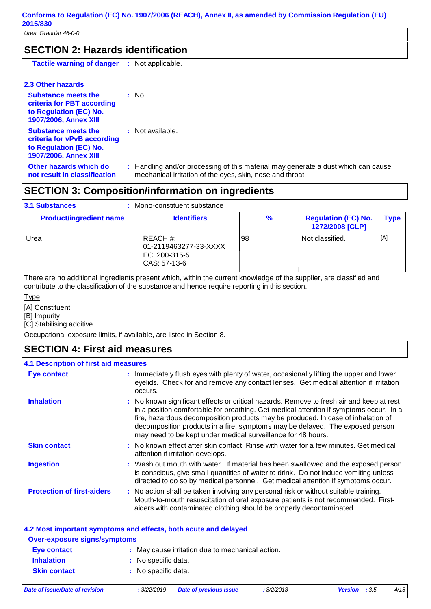## **SECTION 2: Hazards identification**

| <b>Tactile warning of danger</b> | Not applicable. |
|----------------------------------|-----------------|
|----------------------------------|-----------------|

#### **2.3 Other hazards**

| <b>Substance meets the</b><br>criteria for PBT according<br>to Regulation (EC) No.<br><b>1907/2006, Annex XIII</b>  | $:$ No.                                                                                                                                        |
|---------------------------------------------------------------------------------------------------------------------|------------------------------------------------------------------------------------------------------------------------------------------------|
| <b>Substance meets the</b><br>criteria for vPvB according<br>to Regulation (EC) No.<br><b>1907/2006, Annex XIII</b> | : Not available.                                                                                                                               |
| Other hazards which do<br>not result in classification                                                              | : Handling and/or processing of this material may generate a dust which can cause<br>mechanical irritation of the eyes, skin, nose and throat. |

# **SECTION 3: Composition/information on ingredients**

| <b>3.1 Substances</b><br>Mono-constituent substance |                                                                    |    |                                               |      |
|-----------------------------------------------------|--------------------------------------------------------------------|----|-----------------------------------------------|------|
| <b>Product/ingredient name</b>                      | <b>Identifiers</b>                                                 | ℅  | <b>Regulation (EC) No.</b><br>1272/2008 [CLP] | Type |
| Urea                                                | REACH#:<br>01-2119463277-33-XXXX <br>EC: 200-315-5<br>CAS: 57-13-6 | 98 | Not classified.                               | [A]  |

There are no additional ingredients present which, within the current knowledge of the supplier, are classified and contribute to the classification of the substance and hence require reporting in this section.

#### Type

[A] Constituent

[B] Impurity

[C] Stabilising additive

Occupational exposure limits, if available, are listed in Section 8.

## **SECTION 4: First aid measures**

#### **4.1 Description of first aid measures**

| <b>Eye contact</b>                | : Immediately flush eyes with plenty of water, occasionally lifting the upper and lower<br>eyelids. Check for and remove any contact lenses. Get medical attention if irritation<br>occurs.                                                                                                                                                                                                                             |
|-----------------------------------|-------------------------------------------------------------------------------------------------------------------------------------------------------------------------------------------------------------------------------------------------------------------------------------------------------------------------------------------------------------------------------------------------------------------------|
| <b>Inhalation</b>                 | : No known significant effects or critical hazards. Remove to fresh air and keep at rest<br>in a position comfortable for breathing. Get medical attention if symptoms occur. In a<br>fire, hazardous decomposition products may be produced. In case of inhalation of<br>decomposition products in a fire, symptoms may be delayed. The exposed person<br>may need to be kept under medical surveillance for 48 hours. |
| <b>Skin contact</b>               | : No known effect after skin contact. Rinse with water for a few minutes. Get medical<br>attention if irritation develops.                                                                                                                                                                                                                                                                                              |
| <b>Ingestion</b>                  | : Wash out mouth with water. If material has been swallowed and the exposed person<br>is conscious, give small quantities of water to drink. Do not induce vomiting unless<br>directed to do so by medical personnel. Get medical attention if symptoms occur.                                                                                                                                                          |
| <b>Protection of first-aiders</b> | : No action shall be taken involving any personal risk or without suitable training.<br>Mouth-to-mouth resuscitation of oral exposure patients is not recommended. First-<br>aiders with contaminated clothing should be properly decontaminated.                                                                                                                                                                       |

#### **4.2 Most important symptoms and effects, both acute and delayed**

| <b>Over-exposure signs/symptoms</b> |                                                  |  |  |
|-------------------------------------|--------------------------------------------------|--|--|
| Eye contact                         | : May cause irritation due to mechanical action. |  |  |
| <b>Inhalation</b>                   | : No specific data.                              |  |  |
| <b>Skin contact</b>                 | : No specific data.                              |  |  |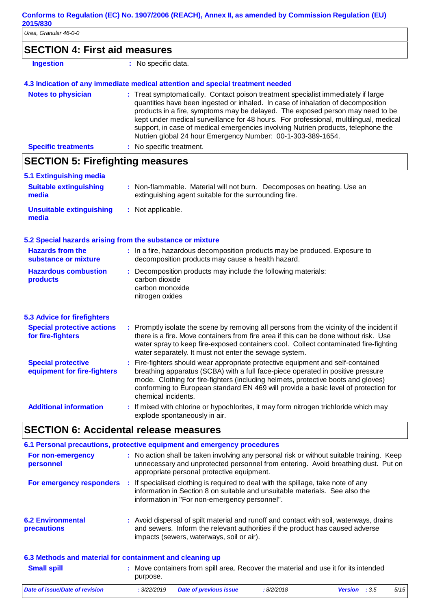*Urea, Granular 46-0-0*

|                  | <b>SECTION 4: First aid measures</b> |  |
|------------------|--------------------------------------|--|
| <b>Ingestion</b> | : No specific data.                  |  |

## **4.3 Indication of any immediate medical attention and special treatment needed**

| <b>Notes to physician</b>  | : Treat symptomatically. Contact poison treatment specialist immediately if large<br>quantities have been ingested or inhaled. In case of inhalation of decomposition<br>products in a fire, symptoms may be delayed. The exposed person may need to be<br>kept under medical surveillance for 48 hours. For professional, multilingual, medical<br>support, in case of medical emergencies involving Nutrien products, telephone the<br>Nutrien global 24 hour Emergency Number: 00-1-303-389-1654. |
|----------------------------|------------------------------------------------------------------------------------------------------------------------------------------------------------------------------------------------------------------------------------------------------------------------------------------------------------------------------------------------------------------------------------------------------------------------------------------------------------------------------------------------------|
| <b>Specific treatments</b> | : No specific treatment.                                                                                                                                                                                                                                                                                                                                                                                                                                                                             |

# **SECTION 5: Firefighting measures**

| 5.1 Extinguishing media                                   |                                                                                                                                                                                                                                                                                                                                                                       |
|-----------------------------------------------------------|-----------------------------------------------------------------------------------------------------------------------------------------------------------------------------------------------------------------------------------------------------------------------------------------------------------------------------------------------------------------------|
| <b>Suitable extinguishing</b><br>media                    | : Non-flammable. Material will not burn. Decomposes on heating. Use an<br>extinguishing agent suitable for the surrounding fire.                                                                                                                                                                                                                                      |
| <b>Unsuitable extinguishing</b><br>media                  | : Not applicable.                                                                                                                                                                                                                                                                                                                                                     |
| 5.2 Special hazards arising from the substance or mixture |                                                                                                                                                                                                                                                                                                                                                                       |
| <b>Hazards from the</b><br>substance or mixture           | : In a fire, hazardous decomposition products may be produced. Exposure to<br>decomposition products may cause a health hazard.                                                                                                                                                                                                                                       |
| <b>Hazardous combustion</b><br>products                   | : Decomposition products may include the following materials:<br>carbon dioxide<br>carbon monoxide<br>nitrogen oxides                                                                                                                                                                                                                                                 |
| <b>5.3 Advice for firefighters</b>                        |                                                                                                                                                                                                                                                                                                                                                                       |
| <b>Special protective actions</b><br>for fire-fighters    | : Promptly isolate the scene by removing all persons from the vicinity of the incident if<br>there is a fire. Move containers from fire area if this can be done without risk. Use<br>water spray to keep fire-exposed containers cool. Collect contaminated fire-fighting<br>water separately. It must not enter the sewage system.                                  |
| <b>Special protective</b><br>equipment for fire-fighters  | : Fire-fighters should wear appropriate protective equipment and self-contained<br>breathing apparatus (SCBA) with a full face-piece operated in positive pressure<br>mode. Clothing for fire-fighters (including helmets, protective boots and gloves)<br>conforming to European standard EN 469 will provide a basic level of protection for<br>chemical incidents. |
| <b>Additional information</b>                             | : If mixed with chlorine or hypochlorites, it may form nitrogen trichloride which may<br>explode spontaneously in air.                                                                                                                                                                                                                                                |

# **SECTION 6: Accidental release measures**

| 6.1 Personal precautions, protective equipment and emergency procedures |  |                                                                                                                                                                                                                                            |  |  |  |
|-------------------------------------------------------------------------|--|--------------------------------------------------------------------------------------------------------------------------------------------------------------------------------------------------------------------------------------------|--|--|--|
| For non-emergency<br>personnel                                          |  | : No action shall be taken involving any personal risk or without suitable training. Keep<br>unnecessary and unprotected personnel from entering. Avoid breathing dust. Put on<br>appropriate personal protective equipment.               |  |  |  |
|                                                                         |  | For emergency responders : If specialised clothing is required to deal with the spillage, take note of any<br>information in Section 8 on suitable and unsuitable materials. See also the<br>information in "For non-emergency personnel". |  |  |  |
| <b>6.2 Environmental</b><br><b>precautions</b>                          |  | : Avoid dispersal of spilt material and runoff and contact with soil, waterways, drains<br>and sewers. Inform the relevant authorities if the product has caused adverse<br>impacts (sewers, waterways, soil or air).                      |  |  |  |
| 6.3 Methods and material for containment and cleaning up                |  |                                                                                                                                                                                                                                            |  |  |  |
| <b>Small spill</b>                                                      |  | : Move containers from spill area. Recover the material and use it for its intended<br>purpose.                                                                                                                                            |  |  |  |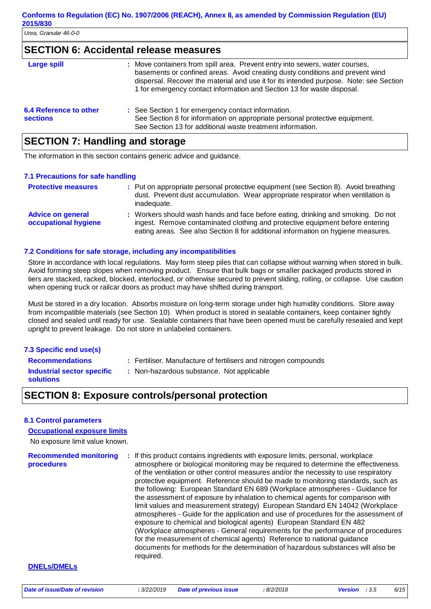## **SECTION 6: Accidental release measures**

| <b>Large spill</b>                        | : Move containers from spill area. Prevent entry into sewers, water courses,<br>basements or confined areas. Avoid creating dusty conditions and prevent wind<br>dispersal. Recover the material and use it for its intended purpose. Note: see Section<br>1 for emergency contact information and Section 13 for waste disposal. |
|-------------------------------------------|-----------------------------------------------------------------------------------------------------------------------------------------------------------------------------------------------------------------------------------------------------------------------------------------------------------------------------------|
| 6.4 Reference to other<br><b>sections</b> | : See Section 1 for emergency contact information.<br>See Section 8 for information on appropriate personal protective equipment.<br>See Section 13 for additional waste treatment information.                                                                                                                                   |
|                                           |                                                                                                                                                                                                                                                                                                                                   |

## **SECTION 7: Handling and storage**

The information in this section contains generic advice and guidance.

#### **7.1 Precautions for safe handling**

| <b>Protective measures</b>                       | : Put on appropriate personal protective equipment (see Section 8). Avoid breathing<br>dust. Prevent dust accumulation. Wear appropriate respirator when ventilation is<br>inadequate.                                                                |
|--------------------------------------------------|-------------------------------------------------------------------------------------------------------------------------------------------------------------------------------------------------------------------------------------------------------|
| <b>Advice on general</b><br>occupational hygiene | : Workers should wash hands and face before eating, drinking and smoking. Do not<br>ingest. Remove contaminated clothing and protective equipment before entering<br>eating areas. See also Section 8 for additional information on hygiene measures. |

#### **7.2 Conditions for safe storage, including any incompatibilities**

Store in accordance with local regulations. May form steep piles that can collapse without warning when stored in bulk. Avoid forming steep slopes when removing product. Ensure that bulk bags or smaller packaged products stored in tiers are stacked, racked, blocked, interlocked, or otherwise secured to prevent sliding, rolling, or collapse. Use caution when opening truck or railcar doors as product may have shifted during transport.

Must be stored in a dry location. Absorbs moisture on long-term storage under high humidity conditions. Store away from incompatible materials (see Section 10). When product is stored in sealable containers, keep container tightly closed and sealed until ready for use. Sealable containers that have been opened must be carefully resealed and kept upright to prevent leakage. Do not store in unlabeled containers.

#### **7.3 Specific end use(s)**

**Recommendations :**

Fertiliser. Manufacture of fertilisers and nitrogen compounds

**Industrial sector specific : solutions**

: Non-hazardous substance. Not applicable

## **SECTION 8: Exposure controls/personal protection**

#### **8.1 Control parameters**

#### **Occupational exposure limits**

No exposure limit value known.

**Recommended monitoring procedures :** If this product contains ingredients with exposure limits, personal, workplace atmosphere or biological monitoring may be required to determine the effectiveness of the ventilation or other control measures and/or the necessity to use respiratory protective equipment. Reference should be made to monitoring standards, such as the following: European Standard EN 689 (Workplace atmospheres - Guidance for the assessment of exposure by inhalation to chemical agents for comparison with limit values and measurement strategy) European Standard EN 14042 (Workplace atmospheres - Guide for the application and use of procedures for the assessment of exposure to chemical and biological agents) European Standard EN 482 (Workplace atmospheres - General requirements for the performance of procedures for the measurement of chemical agents) Reference to national guidance documents for methods for the determination of hazardous substances will also be required.

#### **DNELs/DMELs**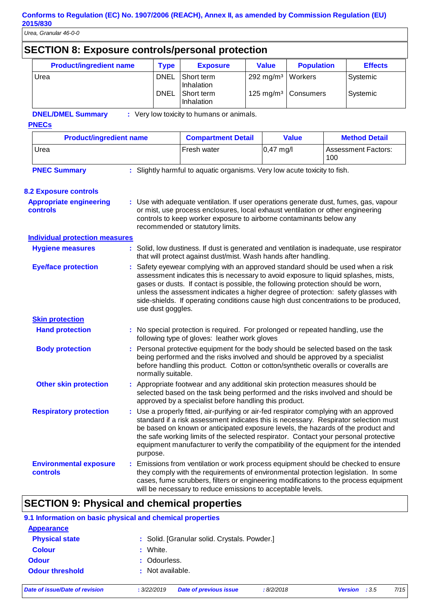| <b>SECTION 8: Exposure controls/personal protection</b>                                                                                                                                                                                                                                                                           |                                                                                                                                                                                                                                                                                |                                                                                                                                                                                                                                                                                                                                                                                                                                                               |                                                                                                                                                                                                                                                                                                                                                                                                                                                     |                                       |                      |                                   |                      |  |
|-----------------------------------------------------------------------------------------------------------------------------------------------------------------------------------------------------------------------------------------------------------------------------------------------------------------------------------|--------------------------------------------------------------------------------------------------------------------------------------------------------------------------------------------------------------------------------------------------------------------------------|---------------------------------------------------------------------------------------------------------------------------------------------------------------------------------------------------------------------------------------------------------------------------------------------------------------------------------------------------------------------------------------------------------------------------------------------------------------|-----------------------------------------------------------------------------------------------------------------------------------------------------------------------------------------------------------------------------------------------------------------------------------------------------------------------------------------------------------------------------------------------------------------------------------------------------|---------------------------------------|----------------------|-----------------------------------|----------------------|--|
| <b>Product/ingredient name</b>                                                                                                                                                                                                                                                                                                    |                                                                                                                                                                                                                                                                                | <b>Type</b>                                                                                                                                                                                                                                                                                                                                                                                                                                                   | <b>Exposure</b>                                                                                                                                                                                                                                                                                                                                                                                                                                     | <b>Value</b>                          | <b>Population</b>    |                                   | <b>Effects</b>       |  |
| Urea                                                                                                                                                                                                                                                                                                                              |                                                                                                                                                                                                                                                                                | <b>DNEL</b><br><b>DNEL</b>                                                                                                                                                                                                                                                                                                                                                                                                                                    | Short term<br>Inhalation<br>Short term<br>Inhalation                                                                                                                                                                                                                                                                                                                                                                                                | 292 mg/m <sup>3</sup><br>125 mg/m $3$ | Workers<br>Consumers |                                   | Systemic<br>Systemic |  |
| <b>DNEL/DMEL Summary</b>                                                                                                                                                                                                                                                                                                          |                                                                                                                                                                                                                                                                                |                                                                                                                                                                                                                                                                                                                                                                                                                                                               | : Very low toxicity to humans or animals.                                                                                                                                                                                                                                                                                                                                                                                                           |                                       |                      |                                   |                      |  |
| <b>PNECs</b>                                                                                                                                                                                                                                                                                                                      |                                                                                                                                                                                                                                                                                |                                                                                                                                                                                                                                                                                                                                                                                                                                                               |                                                                                                                                                                                                                                                                                                                                                                                                                                                     |                                       |                      |                                   |                      |  |
| <b>Product/ingredient name</b>                                                                                                                                                                                                                                                                                                    |                                                                                                                                                                                                                                                                                |                                                                                                                                                                                                                                                                                                                                                                                                                                                               | <b>Compartment Detail</b>                                                                                                                                                                                                                                                                                                                                                                                                                           |                                       | <b>Value</b>         |                                   | <b>Method Detail</b> |  |
| Urea                                                                                                                                                                                                                                                                                                                              |                                                                                                                                                                                                                                                                                |                                                                                                                                                                                                                                                                                                                                                                                                                                                               | Fresh water                                                                                                                                                                                                                                                                                                                                                                                                                                         | $0,47$ mg/l                           |                      | <b>Assessment Factors:</b><br>100 |                      |  |
| <b>PNEC Summary</b>                                                                                                                                                                                                                                                                                                               |                                                                                                                                                                                                                                                                                |                                                                                                                                                                                                                                                                                                                                                                                                                                                               | : Slightly harmful to aquatic organisms. Very low acute toxicity to fish.                                                                                                                                                                                                                                                                                                                                                                           |                                       |                      |                                   |                      |  |
|                                                                                                                                                                                                                                                                                                                                   |                                                                                                                                                                                                                                                                                |                                                                                                                                                                                                                                                                                                                                                                                                                                                               |                                                                                                                                                                                                                                                                                                                                                                                                                                                     |                                       |                      |                                   |                      |  |
| <b>8.2 Exposure controls</b>                                                                                                                                                                                                                                                                                                      |                                                                                                                                                                                                                                                                                |                                                                                                                                                                                                                                                                                                                                                                                                                                                               |                                                                                                                                                                                                                                                                                                                                                                                                                                                     |                                       |                      |                                   |                      |  |
| : Use with adequate ventilation. If user operations generate dust, fumes, gas, vapour<br><b>Appropriate engineering</b><br>or mist, use process enclosures, local exhaust ventilation or other engineering<br>controls<br>controls to keep worker exposure to airborne contaminants below any<br>recommended or statutory limits. |                                                                                                                                                                                                                                                                                |                                                                                                                                                                                                                                                                                                                                                                                                                                                               |                                                                                                                                                                                                                                                                                                                                                                                                                                                     |                                       |                      |                                   |                      |  |
| <b>Individual protection measures</b>                                                                                                                                                                                                                                                                                             |                                                                                                                                                                                                                                                                                |                                                                                                                                                                                                                                                                                                                                                                                                                                                               |                                                                                                                                                                                                                                                                                                                                                                                                                                                     |                                       |                      |                                   |                      |  |
| <b>Hygiene measures</b>                                                                                                                                                                                                                                                                                                           |                                                                                                                                                                                                                                                                                |                                                                                                                                                                                                                                                                                                                                                                                                                                                               | : Solid, low dustiness. If dust is generated and ventilation is inadequate, use respirator<br>that will protect against dust/mist. Wash hands after handling.                                                                                                                                                                                                                                                                                       |                                       |                      |                                   |                      |  |
| <b>Eye/face protection</b>                                                                                                                                                                                                                                                                                                        |                                                                                                                                                                                                                                                                                | : Safety eyewear complying with an approved standard should be used when a risk<br>assessment indicates this is necessary to avoid exposure to liquid splashes, mists,<br>gases or dusts. If contact is possible, the following protection should be worn,<br>unless the assessment indicates a higher degree of protection: safety glasses with<br>side-shields. If operating conditions cause high dust concentrations to be produced,<br>use dust goggles. |                                                                                                                                                                                                                                                                                                                                                                                                                                                     |                                       |                      |                                   |                      |  |
| <b>Skin protection</b>                                                                                                                                                                                                                                                                                                            |                                                                                                                                                                                                                                                                                |                                                                                                                                                                                                                                                                                                                                                                                                                                                               |                                                                                                                                                                                                                                                                                                                                                                                                                                                     |                                       |                      |                                   |                      |  |
| : No special protection is required. For prolonged or repeated handling, use the<br><b>Hand protection</b><br>following type of gloves: leather work gloves                                                                                                                                                                       |                                                                                                                                                                                                                                                                                |                                                                                                                                                                                                                                                                                                                                                                                                                                                               |                                                                                                                                                                                                                                                                                                                                                                                                                                                     |                                       |                      |                                   |                      |  |
| <b>Body protection</b>                                                                                                                                                                                                                                                                                                            | : Personal protective equipment for the body should be selected based on the task<br>being performed and the risks involved and should be approved by a specialist<br>before handling this product. Cotton or cotton/synthetic overalls or coveralls are<br>normally suitable. |                                                                                                                                                                                                                                                                                                                                                                                                                                                               |                                                                                                                                                                                                                                                                                                                                                                                                                                                     |                                       |                      |                                   |                      |  |
| <b>Other skin protection</b>                                                                                                                                                                                                                                                                                                      |                                                                                                                                                                                                                                                                                | : Appropriate footwear and any additional skin protection measures should be<br>selected based on the task being performed and the risks involved and should be<br>approved by a specialist before handling this product.                                                                                                                                                                                                                                     |                                                                                                                                                                                                                                                                                                                                                                                                                                                     |                                       |                      |                                   |                      |  |
| <b>Respiratory protection</b>                                                                                                                                                                                                                                                                                                     |                                                                                                                                                                                                                                                                                | purpose.                                                                                                                                                                                                                                                                                                                                                                                                                                                      | : Use a properly fitted, air-purifying or air-fed respirator complying with an approved<br>standard if a risk assessment indicates this is necessary. Respirator selection must<br>be based on known or anticipated exposure levels, the hazards of the product and<br>the safe working limits of the selected respirator. Contact your personal protective<br>equipment manufacturer to verify the compatibility of the equipment for the intended |                                       |                      |                                   |                      |  |
| <b>Environmental exposure</b><br>controls                                                                                                                                                                                                                                                                                         |                                                                                                                                                                                                                                                                                |                                                                                                                                                                                                                                                                                                                                                                                                                                                               | : Emissions from ventilation or work process equipment should be checked to ensure<br>they comply with the requirements of environmental protection legislation. In some<br>cases, fume scrubbers, filters or engineering modifications to the process equipment<br>will be necessary to reduce emissions to acceptable levels.                                                                                                                     |                                       |                      |                                   |                      |  |

# **SECTION 9: Physical and chemical properties**

| 9.1 Information on basic physical and chemical properties |                                              |  |  |  |  |
|-----------------------------------------------------------|----------------------------------------------|--|--|--|--|
| <b>Appearance</b>                                         |                                              |  |  |  |  |
| <b>Physical state</b>                                     | : Solid. [Granular solid. Crystals. Powder.] |  |  |  |  |
| <b>Colour</b>                                             | : White.                                     |  |  |  |  |
| <b>Odour</b>                                              | : Odourless.                                 |  |  |  |  |
| <b>Odour threshold</b>                                    | : Not available.                             |  |  |  |  |
|                                                           |                                              |  |  |  |  |

*Date of issue/Date of revision* **:** *3/22/2019 Date of previous issue : 8/2/2018 Version : 3.5 7/15*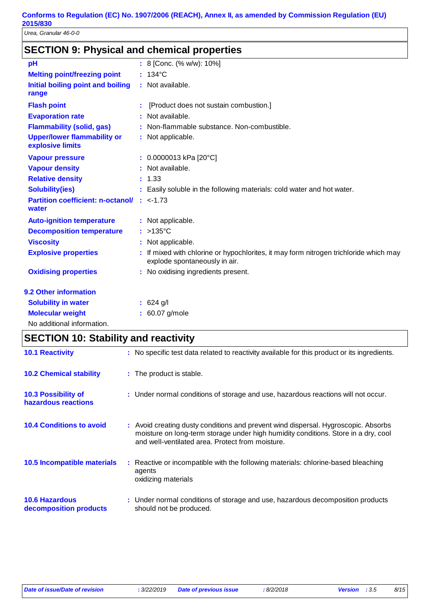*Urea, Granular 46-0-0*

# **SECTION 9: Physical and chemical properties**

| pH                                                            | : 8 [Conc. (% w/w): 10%]                                                                                               |
|---------------------------------------------------------------|------------------------------------------------------------------------------------------------------------------------|
| <b>Melting point/freezing point</b>                           | $: 134^{\circ}$ C                                                                                                      |
| Initial boiling point and boiling<br>range                    | : Not available.                                                                                                       |
| <b>Flash point</b>                                            | : [Product does not sustain combustion.]                                                                               |
| <b>Evaporation rate</b>                                       | : Not available.                                                                                                       |
| <b>Flammability (solid, gas)</b>                              | : Non-flammable substance. Non-combustible.                                                                            |
| <b>Upper/lower flammability or</b><br>explosive limits        | : Not applicable.                                                                                                      |
| <b>Vapour pressure</b>                                        | : $0.0000013$ kPa [20°C]                                                                                               |
| <b>Vapour density</b>                                         | : Not available.                                                                                                       |
| <b>Relative density</b>                                       | : 1.33                                                                                                                 |
| <b>Solubility(ies)</b>                                        | : Easily soluble in the following materials: cold water and hot water.                                                 |
| <b>Partition coefficient: n-octanol/ : &lt;-1.73</b><br>water |                                                                                                                        |
| <b>Auto-ignition temperature</b>                              | : Not applicable.                                                                                                      |
| <b>Decomposition temperature</b>                              | $:$ >135 °C                                                                                                            |
| <b>Viscosity</b>                                              | : Not applicable.                                                                                                      |
| <b>Explosive properties</b>                                   | : If mixed with chlorine or hypochlorites, it may form nitrogen trichloride which may<br>explode spontaneously in air. |
| <b>Oxidising properties</b>                                   | : No oxidising ingredients present.                                                                                    |
| 9.2 Other information                                         |                                                                                                                        |
| <b>Solubility in water</b>                                    | : 624 g/l                                                                                                              |
| <b>Molecular weight</b>                                       | : 60.07 g/mole                                                                                                         |
| No additional information.                                    |                                                                                                                        |

# **SECTION 10: Stability and reactivity**

| <b>10.1 Reactivity</b>                            | : No specific test data related to reactivity available for this product or its ingredients.                                                                                                                                 |
|---------------------------------------------------|------------------------------------------------------------------------------------------------------------------------------------------------------------------------------------------------------------------------------|
| <b>10.2 Chemical stability</b>                    | : The product is stable.                                                                                                                                                                                                     |
| <b>10.3 Possibility of</b><br>hazardous reactions | : Under normal conditions of storage and use, hazardous reactions will not occur.                                                                                                                                            |
| <b>10.4 Conditions to avoid</b>                   | : Avoid creating dusty conditions and prevent wind dispersal. Hygroscopic. Absorbs<br>moisture on long-term storage under high humidity conditions. Store in a dry, cool<br>and well-ventilated area. Protect from moisture. |
| 10.5 Incompatible materials                       | : Reactive or incompatible with the following materials: chlorine-based bleaching<br>agents<br>oxidizing materials                                                                                                           |
| <b>10.6 Hazardous</b><br>decomposition products   | : Under normal conditions of storage and use, hazardous decomposition products<br>should not be produced.                                                                                                                    |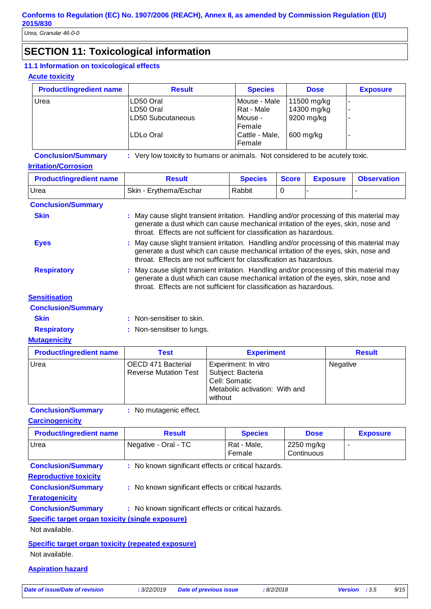## **SECTION 11: Toxicological information**

#### **11.1 Information on toxicological effects**

#### **Acute toxicity**

| <b>Product/ingredient name</b> | <b>Result</b>                                             | <b>Species</b>                                                              | <b>Dose</b>                                           | <b>Exposure</b> |
|--------------------------------|-----------------------------------------------------------|-----------------------------------------------------------------------------|-------------------------------------------------------|-----------------|
| Urea                           | LD50 Oral<br>LD50 Oral<br>LD50 Subcutaneous<br>ILDLo Oral | Mouse - Male<br>Rat - Male<br>Mouse -<br>Female<br>Cattle - Male,<br>Female | 11500 mg/kg<br>14300 mg/kg<br>9200 mg/kg<br>600 mg/kg | -               |

# **Conclusion/Summary :** Very low toxicity to humans or animals. Not considered to be acutely toxic.

|  | <b>Irritation/Corrosion</b> |  |  |  |  |  |
|--|-----------------------------|--|--|--|--|--|
|  |                             |  |  |  |  |  |

| <b>Product/ingredient name</b> | <b>Result</b>          | <b>Species</b> | <b>Score</b> | <b>Exposure</b> | <b>Observation</b> |
|--------------------------------|------------------------|----------------|--------------|-----------------|--------------------|
| Urea                           | Skin - Erythema/Eschar | Rabbit         |              |                 |                    |
| <b>Conclusion/Summary</b>      |                        |                |              |                 |                    |

| <b>Skin</b> | : May cause slight transient irritation. Handling and/or processing of this material may |
|-------------|------------------------------------------------------------------------------------------|
|             | generate a dust which can cause mechanical irritation of the eyes, skin, nose and        |
|             | throat. Effects are not sufficient for classification as hazardous.                      |

- **Eyes Eyes** : May cause slight transient irritation. Handling and/or processing of this material may generate a dust which can cause mechanical irritation of the eyes, skin, nose and throat. Effects are not sufficient for classification as hazardous.
- Respiratory : May cause slight transient irritation. Handling and/or processing of this material may generate a dust which can cause mechanical irritation of the eyes, skin, nose and throat. Effects are not sufficient for classification as hazardous.

|  |  | <b>Sensitisation</b> |  |  |  |
|--|--|----------------------|--|--|--|
|  |  |                      |  |  |  |

| <b>Conclusion/Summary</b> |                            |
|---------------------------|----------------------------|
| <b>Skin</b>               | : Non-sensitiser to skin.  |
| <b>Respiratory</b>        | : Non-sensitiser to lungs. |

**Mutagenicity**

| <b>Product/ingredient name</b> | Test                                               | <b>Experiment</b>                                                                                       | <b>Result</b> |
|--------------------------------|----------------------------------------------------|---------------------------------------------------------------------------------------------------------|---------------|
| Urea                           | OECD 471 Bacterial<br><b>Reverse Mutation Test</b> | Experiment: In vitro<br>Subject: Bacteria<br>Cell: Somatic<br>Metabolic activation: With and<br>without | Negative      |

**Conclusion/Summary :** No mutagenic effect.

**Carcinogenicity**

| <b>Product/ingredient name</b>                            | <b>Result</b>                                       | <b>Species</b>        | <b>Dose</b>              | <b>Exposure</b> |  |  |
|-----------------------------------------------------------|-----------------------------------------------------|-----------------------|--------------------------|-----------------|--|--|
| Urea                                                      | Negative - Oral - TC                                | Rat - Male,<br>Female | 2250 mg/kg<br>Continuous | ٠               |  |  |
| <b>Conclusion/Summary</b>                                 | : No known significant effects or critical hazards. |                       |                          |                 |  |  |
| <b>Reproductive toxicity</b>                              |                                                     |                       |                          |                 |  |  |
| <b>Conclusion/Summary</b>                                 | : No known significant effects or critical hazards. |                       |                          |                 |  |  |
| <b>Teratogenicity</b>                                     |                                                     |                       |                          |                 |  |  |
| <b>Conclusion/Summary</b>                                 | : No known significant effects or critical hazards. |                       |                          |                 |  |  |
| <b>Specific target organ toxicity (single exposure)</b>   |                                                     |                       |                          |                 |  |  |
| Not available.                                            |                                                     |                       |                          |                 |  |  |
| <b>Specific target organ toxicity (repeated exposure)</b> |                                                     |                       |                          |                 |  |  |
| Not available.                                            |                                                     |                       |                          |                 |  |  |
| <b>Aspiration hazard</b>                                  |                                                     |                       |                          |                 |  |  |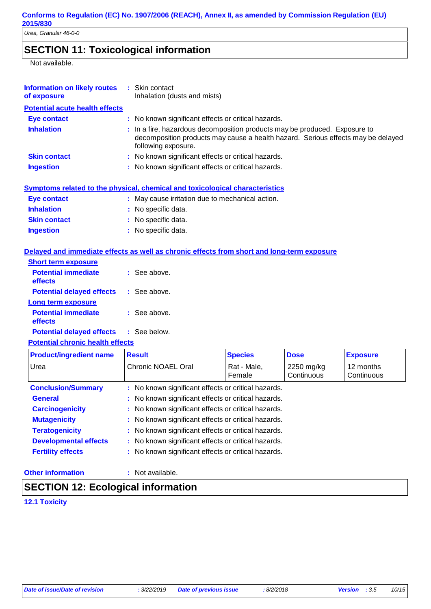# **SECTION 11: Toxicological information**

Not available.

| <b>Information on likely routes</b><br>of exposure | : Skin contact<br>Inhalation (dusts and mists)                                                                                                                                        |
|----------------------------------------------------|---------------------------------------------------------------------------------------------------------------------------------------------------------------------------------------|
| <b>Potential acute health effects</b>              |                                                                                                                                                                                       |
| Eye contact                                        | : No known significant effects or critical hazards.                                                                                                                                   |
| <b>Inhalation</b>                                  | : In a fire, hazardous decomposition products may be produced. Exposure to<br>decomposition products may cause a health hazard. Serious effects may be delayed<br>following exposure. |
| <b>Skin contact</b>                                | : No known significant effects or critical hazards.                                                                                                                                   |
| <b>Ingestion</b>                                   | : No known significant effects or critical hazards.                                                                                                                                   |
|                                                    |                                                                                                                                                                                       |

|                     | Symptoms related to the physical, chemical and toxicological characteristics |
|---------------------|------------------------------------------------------------------------------|
| Eye contact         | : May cause irritation due to mechanical action.                             |
| <b>Inhalation</b>   | : No specific data.                                                          |
| <b>Skin contact</b> | : No specific data.                                                          |
| <b>Ingestion</b>    | : No specific data.                                                          |

#### **Delayed and immediate effects as well as chronic effects from short and long-term exposure**

| $\therefore$ See above. |
|-------------------------|
| : See above.            |
|                         |
| $:$ See above.          |
|                         |

**Potential delayed effects : See below.** 

#### **Potential chronic health effects**

| <b>Product/ingredient name</b> | <b>Result</b>                                       | <b>Species</b>        | <b>Dose</b>              | <b>Exposure</b>         |
|--------------------------------|-----------------------------------------------------|-----------------------|--------------------------|-------------------------|
| Urea                           | Chronic NOAEL Oral                                  | Rat - Male,<br>Female | 2250 mg/kg<br>Continuous | 12 months<br>Continuous |
| <b>Conclusion/Summary</b>      | : No known significant effects or critical hazards. |                       |                          |                         |
| <b>General</b>                 | : No known significant effects or critical hazards. |                       |                          |                         |
| <b>Carcinogenicity</b>         | : No known significant effects or critical hazards. |                       |                          |                         |
| <b>Mutagenicity</b>            | : No known significant effects or critical hazards. |                       |                          |                         |
| <b>Teratogenicity</b>          | : No known significant effects or critical hazards. |                       |                          |                         |
| <b>Developmental effects</b>   | : No known significant effects or critical hazards. |                       |                          |                         |
| <b>Fertility effects</b>       | : No known significant effects or critical hazards. |                       |                          |                         |

#### **Other information :**

: Not available.

# **SECTION 12: Ecological information**

**12.1 Toxicity**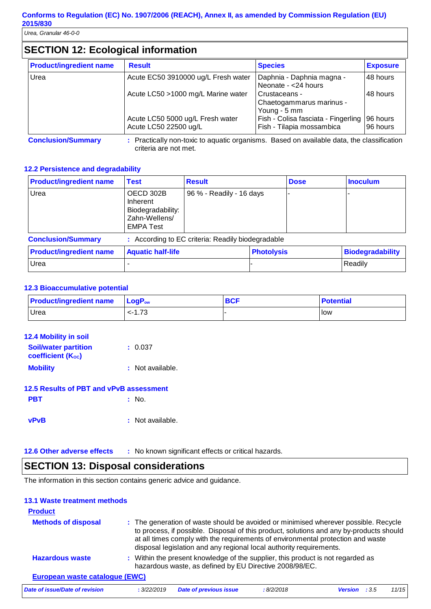# **SECTION 12: Ecological information**

| <b>Product/ingredient name</b> | <b>Result</b>                                             | <b>Species</b>                                                   | <b>Exposure</b>      |
|--------------------------------|-----------------------------------------------------------|------------------------------------------------------------------|----------------------|
| Urea                           | Acute EC50 3910000 ug/L Fresh water                       | Daphnia - Daphnia magna -<br>Neonate - < 24 hours                | 48 hours             |
|                                | Acute LC50 >1000 mg/L Marine water                        | Crustaceans -<br>Chaetogammarus marinus -<br>Young - 5 mm        | 48 hours             |
|                                | Acute LC50 5000 ug/L Fresh water<br>Acute LC50 22500 ug/L | Fish - Colisa fasciata - Fingerling<br>Fish - Tilapia mossambica | 96 hours<br>96 hours |

**Conclusion/Summary :** Practically non-toxic to aquatic organisms. Based on available data, the classification

#### criteria are not met.

#### **12.2 Persistence and degradability**

| <b>Product/ingredient name</b> | <b>Test</b>                                                                     | <b>Result</b>                                     |  | <b>Dose</b>       | <b>Inoculum</b>         |
|--------------------------------|---------------------------------------------------------------------------------|---------------------------------------------------|--|-------------------|-------------------------|
| Urea                           | OECD 302B<br>Inherent<br>Biodegradability:<br>Zahn-Wellens/<br><b>EMPA Test</b> | 96 % - Readily - 16 days                          |  |                   |                         |
| <b>Conclusion/Summary</b>      |                                                                                 | : According to EC criteria: Readily biodegradable |  |                   |                         |
| <b>Product/ingredient name</b> | <b>Aquatic half-life</b>                                                        |                                                   |  | <b>Photolysis</b> | <b>Biodegradability</b> |
| Urea                           |                                                                                 |                                                   |  |                   | Readily                 |

#### **12.3 Bioaccumulative potential**

| <b>Product/ingredient name</b> LogP <sub>ow</sub> |           | <b>BCF</b> | <b>Potential</b> |
|---------------------------------------------------|-----------|------------|------------------|
| Urea                                              | $< -1.73$ |            | <b>I</b> low     |

| <b>12.4 Mobility in soil</b>                     |                  |
|--------------------------------------------------|------------------|
| <b>Soil/water partition</b><br>coefficient (Koc) | : 0.037          |
| <b>Mobility</b>                                  | : Not available. |
| 12.5 Results of PBT and vPvB assessment          |                  |
| <b>PBT</b>                                       | : No             |
|                                                  |                  |

| vPvB | : Not available. |
|------|------------------|
|      |                  |

**12.6 Other adverse effects** : No known significant effects or critical hazards.

## **SECTION 13: Disposal considerations**

The information in this section contains generic advice and guidance.

#### **13.1 Waste treatment methods**

| <b>Product</b>                 |             |                                                                                                                                                                                                                                                                                                                                          |           |                |        |       |
|--------------------------------|-------------|------------------------------------------------------------------------------------------------------------------------------------------------------------------------------------------------------------------------------------------------------------------------------------------------------------------------------------------|-----------|----------------|--------|-------|
| <b>Methods of disposal</b>     |             | : The generation of waste should be avoided or minimised wherever possible. Recycle<br>to process, if possible. Disposal of this product, solutions and any by-products should<br>at all times comply with the requirements of environmental protection and waste<br>disposal legislation and any regional local authority requirements. |           |                |        |       |
| <b>Hazardous waste</b>         |             | : Within the present knowledge of the supplier, this product is not regarded as<br>hazardous waste, as defined by EU Directive 2008/98/EC.                                                                                                                                                                                               |           |                |        |       |
| European waste catalogue (EWC) |             |                                                                                                                                                                                                                                                                                                                                          |           |                |        |       |
| Date of issue/Date of revision | : 3/22/2019 | <b>Date of previous issue</b>                                                                                                                                                                                                                                                                                                            | :8/2/2018 | <b>Version</b> | $-3.5$ | 11/15 |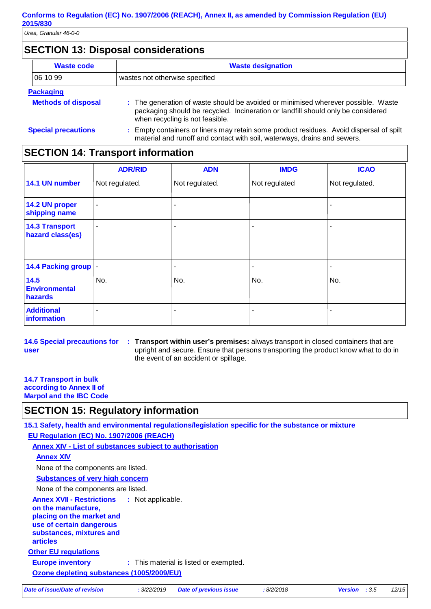## **SECTION 13: Disposal considerations**

| <b>Waste code</b>          | <b>Waste designation</b>                                                                                                                                                                                 |
|----------------------------|----------------------------------------------------------------------------------------------------------------------------------------------------------------------------------------------------------|
| 06 10 99                   | wastes not otherwise specified                                                                                                                                                                           |
| <b>Packaging</b>           |                                                                                                                                                                                                          |
| <b>Methods of disposal</b> | : The generation of waste should be avoided or minimised wherever possible. Waste<br>packaging should be recycled. Incineration or landfill should only be considered<br>when recycling is not feasible. |
| <b>Special precautions</b> | : Empty containers or liners may retain some product residues. Avoid dispersal of spilt<br>material and runoff and contact with soil, waterways, drains and sewers.                                      |

## **SECTION 14: Transport information**

|                                           | <b>ADR/RID</b> | <b>ADN</b>               | <b>IMDG</b>   | <b>ICAO</b>    |
|-------------------------------------------|----------------|--------------------------|---------------|----------------|
| 14.1 UN number                            | Not regulated. | Not regulated.           | Not regulated | Not regulated. |
| 14.2 UN proper<br>shipping name           | ٠              | ۰                        |               |                |
| <b>14.3 Transport</b><br>hazard class(es) | ۰              | ۰                        |               |                |
| 14.4 Packing group                        |                | $\overline{\phantom{a}}$ |               |                |
| 14.5<br><b>Environmental</b><br>hazards   | No.            | No.                      | No.           | No.            |
| <b>Additional</b><br>information          | $\blacksquare$ | $\overline{\phantom{a}}$ |               |                |

**14.6 Special precautions for user Transport within user's premises:** always transport in closed containers that are **:** upright and secure. Ensure that persons transporting the product know what to do in the event of an accident or spillage.

#### **14.7 Transport in bulk according to Annex II of Marpol and the IBC Code**

# **SECTION 15: Regulatory information**

**15.1 Safety, health and environmental regulations/legislation specific for the substance or mixture**

**EU Regulation (EC) No. 1907/2006 (REACH)**

**Annex XIV - List of substances subject to authorisation**

```
Annex XIV
```
None of the components are listed.

**Substances of very high concern**

None of the components are listed.

**Other EU regulations Annex XVII - Restrictions on the manufacture, placing on the market and use of certain dangerous substances, mixtures and articles** : Not applicable.

**Europe inventory** : This material is listed or exempted.

**Ozone depleting substances (1005/2009/EU)**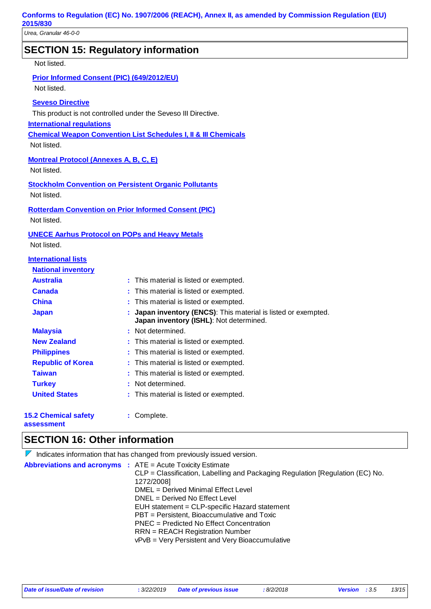## **SECTION 15: Regulatory information**

Not listed.

#### **Prior Informed Consent (PIC) (649/2012/EU)**

Not listed.

#### **Seveso Directive**

This product is not controlled under the Seveso III Directive.

**International regulations**

**Chemical Weapon Convention List Schedules I, II & III Chemicals**

Not listed.

#### **Montreal Protocol (Annexes A, B, C, E)**

Not listed.

**Stockholm Convention on Persistent Organic Pollutants** Not listed.

# **Rotterdam Convention on Prior Informed Consent (PIC)**

Not listed.

#### **UNECE Aarhus Protocol on POPs and Heavy Metals**

Not listed.

#### **International lists**

| <b>National inventory</b>   |                                                                                                           |
|-----------------------------|-----------------------------------------------------------------------------------------------------------|
| <b>Australia</b>            | : This material is listed or exempted.                                                                    |
| <b>Canada</b>               | : This material is listed or exempted.                                                                    |
| <b>China</b>                | : This material is listed or exempted.                                                                    |
| <b>Japan</b>                | : Japan inventory (ENCS): This material is listed or exempted.<br>Japan inventory (ISHL): Not determined. |
| <b>Malaysia</b>             | : Not determined.                                                                                         |
| <b>New Zealand</b>          | : This material is listed or exempted.                                                                    |
| <b>Philippines</b>          | : This material is listed or exempted.                                                                    |
| <b>Republic of Korea</b>    | : This material is listed or exempted.                                                                    |
| <b>Taiwan</b>               | : This material is listed or exempted.                                                                    |
| <b>Turkey</b>               | : Not determined.                                                                                         |
| <b>United States</b>        | : This material is listed or exempted.                                                                    |
| <b>15.2 Chemical safety</b> | Complete.                                                                                                 |

**assessment**

## **SECTION 16: Other information**

| $\triangleright$ Indicates information that has changed from previously issued version.                                                                                                                                                                                                                                                                                                                                                                                       |
|-------------------------------------------------------------------------------------------------------------------------------------------------------------------------------------------------------------------------------------------------------------------------------------------------------------------------------------------------------------------------------------------------------------------------------------------------------------------------------|
| <b>Abbreviations and acronyms : ATE = Acute Toxicity Estimate</b><br>CLP = Classification, Labelling and Packaging Regulation [Regulation (EC) No.<br>1272/2008]<br>DMEL = Derived Minimal Effect Level<br>DNEL = Derived No Effect Level<br>EUH statement = CLP-specific Hazard statement<br>PBT = Persistent, Bioaccumulative and Toxic<br>PNEC = Predicted No Effect Concentration<br>$RRN = REACH$ Registration Number<br>vPvB = Very Persistent and Very Bioaccumulative |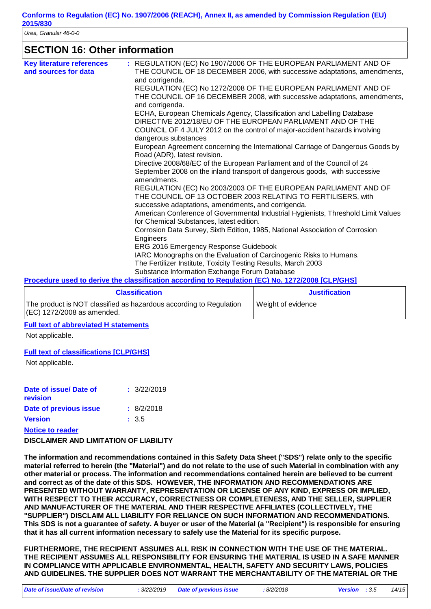## **SECTION 16: Other information**

| <b>Key literature references</b><br>and sources for data | : REGULATION (EC) No 1907/2006 OF THE EUROPEAN PARLIAMENT AND OF<br>THE COUNCIL OF 18 DECEMBER 2006, with successive adaptations, amendments,<br>and corrigenda. |
|----------------------------------------------------------|------------------------------------------------------------------------------------------------------------------------------------------------------------------|
|                                                          | REGULATION (EC) No 1272/2008 OF THE EUROPEAN PARLIAMENT AND OF                                                                                                   |
|                                                          | THE COUNCIL OF 16 DECEMBER 2008, with successive adaptations, amendments,<br>and corrigenda.                                                                     |
|                                                          | ECHA, European Chemicals Agency, Classification and Labelling Database                                                                                           |
|                                                          | DIRECTIVE 2012/18/EU OF THE EUROPEAN PARLIAMENT AND OF THE                                                                                                       |
|                                                          | COUNCIL OF 4 JULY 2012 on the control of major-accident hazards involving<br>dangerous substances                                                                |
|                                                          | European Agreement concerning the International Carriage of Dangerous Goods by<br>Road (ADR), latest revision.                                                   |
|                                                          | Directive 2008/68/EC of the European Parliament and of the Council of 24                                                                                         |
|                                                          | September 2008 on the inland transport of dangerous goods, with successive<br>amendments.                                                                        |
|                                                          | REGULATION (EC) No 2003/2003 OF THE EUROPEAN PARLIAMENT AND OF<br>THE COUNCIL OF 13 OCTOBER 2003 RELATING TO FERTILISERS, with                                   |
|                                                          | successive adaptations, amendments, and corrigenda.                                                                                                              |
|                                                          | American Conference of Governmental Industrial Hygienists, Threshold Limit Values<br>for Chemical Substances, latest edition.                                    |
|                                                          | Corrosion Data Survey, Sixth Edition, 1985, National Association of Corrosion<br>Engineers                                                                       |
|                                                          | ERG 2016 Emergency Response Guidebook                                                                                                                            |
|                                                          | IARC Monographs on the Evaluation of Carcinogenic Risks to Humans.                                                                                               |
|                                                          | The Fertilizer Institute, Toxicity Testing Results, March 2003                                                                                                   |
|                                                          | Substance Information Exchange Forum Database                                                                                                                    |

#### **Procedure used to derive the classification according to Regulation (EC) No. 1272/2008 [CLP/GHS]**

| <b>Classification</b>                                                                               | <b>Justification</b> |  |
|-----------------------------------------------------------------------------------------------------|----------------------|--|
| The product is NOT classified as hazardous according to Regulation<br>$ (EC)$ 1272/2008 as amended. | Weight of evidence   |  |

#### **Full text of abbreviated H statements**

Not applicable.

#### **Full text of classifications [CLP/GHS]**

Not applicable.

| Date of issue/Date of<br>revision | : 3/22/2019 |
|-----------------------------------|-------------|
| Date of previous issue            | : 8/2/2018  |
| <b>Version</b>                    | : 3.5       |
| <b>Notice to reader</b>           |             |

#### **DISCLAIMER AND LIMITATION OF LIABILITY**

**The information and recommendations contained in this Safety Data Sheet ("SDS") relate only to the specific material referred to herein (the "Material") and do not relate to the use of such Material in combination with any other material or process. The information and recommendations contained herein are believed to be current and correct as of the date of this SDS. HOWEVER, THE INFORMATION AND RECOMMENDATIONS ARE PRESENTED WITHOUT WARRANTY, REPRESENTATION OR LICENSE OF ANY KIND, EXPRESS OR IMPLIED, WITH RESPECT TO THEIR ACCURACY, CORRECTNESS OR COMPLETENESS, AND THE SELLER, SUPPLIER AND MANUFACTURER OF THE MATERIAL AND THEIR RESPECTIVE AFFILIATES (COLLECTIVELY, THE "SUPPLIER") DISCLAIM ALL LIABILITY FOR RELIANCE ON SUCH INFORMATION AND RECOMMENDATIONS. This SDS is not a guarantee of safety. A buyer or user of the Material (a "Recipient") is responsible for ensuring that it has all current information necessary to safely use the Material for its specific purpose.**

**FURTHERMORE, THE RECIPIENT ASSUMES ALL RISK IN CONNECTION WITH THE USE OF THE MATERIAL. THE RECIPIENT ASSUMES ALL RESPONSIBILITY FOR ENSURING THE MATERIAL IS USED IN A SAFE MANNER IN COMPLIANCE WITH APPLICABLE ENVIRONMENTAL, HEALTH, SAFETY AND SECURITY LAWS, POLICIES AND GUIDELINES. THE SUPPLIER DOES NOT WARRANT THE MERCHANTABILITY OF THE MATERIAL OR THE**